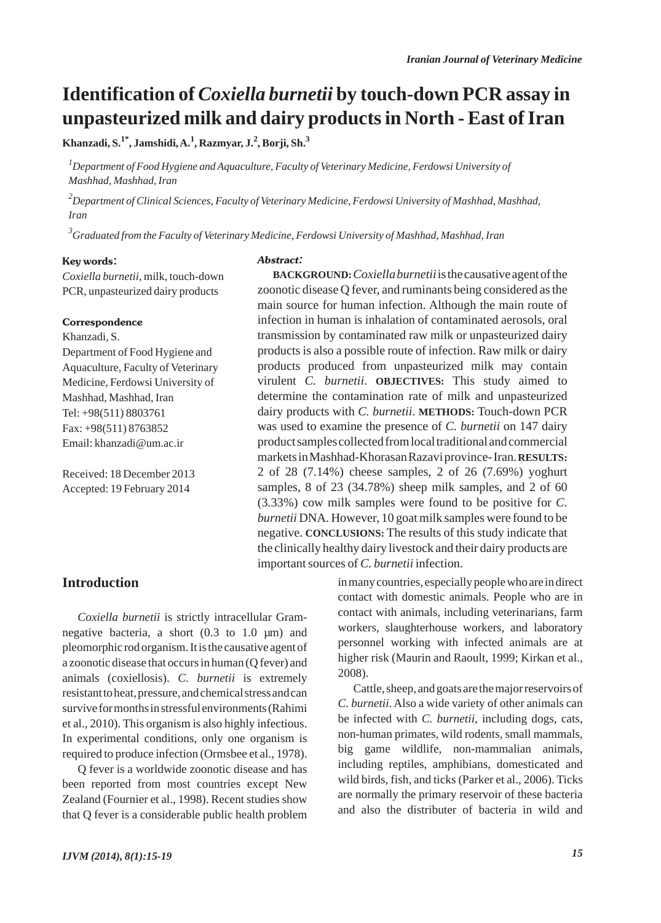## **Identification of** *Coxiella burnetii* **by touch-down PCR assay in unpasteurized milk and dairy products in North - East of Iran**

**Khanzadi, S.1\*, Jamshidi, A.1 , Razmyar, J.2 , Borji, Sh.3**

*1 Department of Food Hygiene and Aquaculture, Faculty of Veterinary Medicine, Ferdowsi University of Mashhad, Mashhad, Iran*

*2 Department of Clinical Sciences, Faculty of Veterinary Medicine, Ferdowsi University of Mashhad, Mashhad, Iran*

*3 Graduated from the Faculty of Veterinary Medicine, Ferdowsi University of Mashhad, Mashhad, Iran*

#### Key words:

*Coxiella burnetii*, milk, touch-down PCR, unpasteurized dairy products

#### **Correspondence**

Khanzadi, S. Department of Food Hygiene and Aquaculture, Faculty of Veterinary Medicine, Ferdowsi University of Mashhad, Mashhad, Iran Tel: +98(511) 8803761 Fax: +98(511) 8763852 Email: khanzadi@um.ac.ir

Received: 18 December 2013 Accepted: 19 February 2014

#### Abstract:

**BACKGROUND:***Coxiella burnetii*is the causative agent of the zoonotic disease Q fever, and ruminants being considered as the main source for human infection. Although the main route of infection in human is inhalation of contaminated aerosols, oral transmission by contaminated raw milk or unpasteurized dairy products is also a possible route of infection. Raw milk or dairy products produced from unpasteurized milk may contain virulent *C. burnetii*. **OBJECTIVES:** This study aimed to determine the contamination rate of milk and unpasteurized dairy products with *C. burnetii*. **METHODS:** Touch-down PCR was used to examine the presence of *C. burnetii* on 147 dairy product samples collected from local traditional and commercial markets in Mashhad-Khorasan Razavi province- Iran. **RESULTS:** 2 of 28 (7.14%) cheese samples, 2 of 26 (7.69%) yoghurt samples, 8 of 23 (34.78%) sheep milk samples, and 2 of 60 (3.33%) cow milk samples were found to be positive for *C. burnetii* DNA. However, 10 goat milk samples were found to be negative. **CONCLUSIONS:** The results of this study indicate that the clinically healthy dairy livestock and their dairy products are important sources of *C. burnetii* infection.

## **Introduction**

*Coxiella burnetii* is strictly intracellular Gramnegative bacteria, a short (0.3 to 1.0 µm) and pleomorphic rod organism. It is the causative agent of a zoonotic disease that occurs in human (Q fever) and animals (coxiellosis). *C. burnetii* is extremely resistant to heat, pressure, and chemical stress and can survive for months in stressful environments (Rahimi et al., 2010). This organism is also highly infectious. In experimental conditions, only one organism is required to produce infection (Ormsbee et al., 1978).

Q fever is a worldwide zoonotic disease and has been reported from most countries except New Zealand (Fournier et al., 1998). Recent studies show that Q fever is a considerable public health problem

*IJVM (2014), 8(1):15-19 15*

in many countries, especially people who are in direct contact with domestic animals. People who are in contact with animals, including veterinarians, farm workers, slaughterhouse workers, and laboratory personnel working with infected animals are at higher risk (Maurin and Raoult, 1999; Kirkan et al., 2008).

Cattle, sheep, and goats are the major reservoirs of *C. burnetii*. Also a wide variety of other animals can be infected with *C. burnetii*, including dogs, cats, non-human primates, wild rodents, small mammals, big game wildlife, non-mammalian animals, including reptiles, amphibians, domesticated and wild birds, fish, and ticks (Parker et al., 2006). Ticks are normally the primary reservoir of these bacteria and also the distributer of bacteria in wild and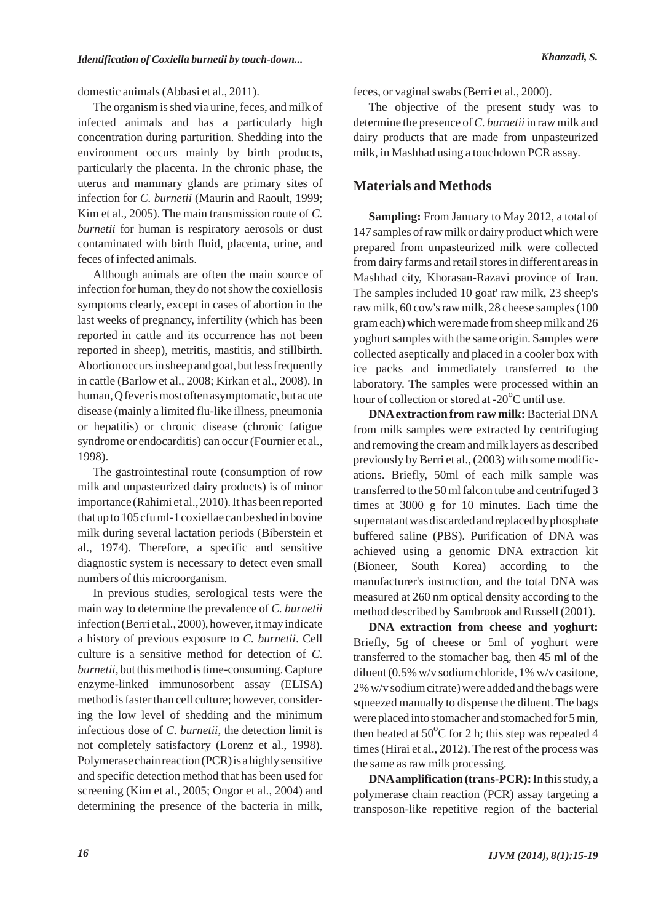domestic animals (Abbasi et al., 2011).

The organism is shed via urine, feces, and milk of infected animals and has a particularly high concentration during parturition. Shedding into the environment occurs mainly by birth products, particularly the placenta. In the chronic phase, the uterus and mammary glands are primary sites of infection for *C. burnetii* (Maurin and Raoult, 1999; Kim et al., 2005). The main transmission route of *C. burnetii* for human is respiratory aerosols or dust contaminated with birth fluid, placenta, urine, and feces of infected animals.

Although animals are often the main source of infection for human, they do not show the coxiellosis symptoms clearly, except in cases of abortion in the last weeks of pregnancy, infertility (which has been reported in cattle and its occurrence has not been reported in sheep), metritis, mastitis, and stillbirth. Abortion occurs in sheep and goat, but less frequently in cattle (Barlow et al., 2008; Kirkan et al., 2008). In human, Q fever is most often asymptomatic, but acute disease (mainly a limited flu-like illness, pneumonia or hepatitis) or chronic disease (chronic fatigue syndrome or endocarditis) can occur (Fournier et al., 1998).

The gastrointestinal route (consumption of row milk and unpasteurized dairy products) is of minor importance (Rahimi et al., 2010). It has been reported that up to 105 cfu ml-1 coxiellae can be shed in bovine milk during several lactation periods (Biberstein et al., 1974). Therefore, a specific and sensitive diagnostic system is necessary to detect even small numbers of this microorganism.

In previous studies, serological tests were the main way to determine the prevalence of *C. burnetii* infection (Berri et al., 2000), however, it may indicate a history of previous exposure to *C. burnetii*. Cell culture is a sensitive method for detection of *C. burnetii*, but this method is time-consuming. Capture enzyme-linked immunosorbent assay (ELISA) method is faster than cell culture; however, considering the low level of shedding and the minimum infectious dose of *C. burnetii*, the detection limit is not completely satisfactory (Lorenz et al., 1998). Polymerase chain reaction (PCR) is a highly sensitive and specific detection method that has been used for screening (Kim et al., 2005; Ongor et al., 2004) and determining the presence of the bacteria in milk, feces, or vaginal swabs (Berri et al., 2000).

The objective of the present study was to determine the presence of *C. burnetii* in raw milk and dairy products that are made from unpasteurized milk, in Mashhad using a touchdown PCR assay.

## **Materials and Methods**

**Sampling:** From January to May 2012, a total of 147 samples of raw milk or dairy product which were prepared from unpasteurized milk were collected from dairy farms and retail stores in different areas in Mashhad city, Khorasan-Razavi province of Iran. The samples included 10 goat' raw milk, 23 sheep's raw milk, 60 cow's raw milk, 28 cheese samples (100 gram each) which were made from sheep milk and 26 yoghurt samples with the same origin. Samples were collected aseptically and placed in a cooler box with ice packs and immediately transferred to the laboratory. The samples were processed within an hour of collection or stored at  $-20^{\circ}$ C until use.

**DNAextraction from raw milk:**Bacterial DNA from milk samples were extracted by centrifuging and removing the cream and milk layers as described previously by Berri et al., (2003) with some modifications. Briefly, 50ml of each milk sample was transferred to the 50 ml falcon tube and centrifuged 3 times at 3000 g for 10 minutes. Each time the supernatant was discarded and replaced by phosphate buffered saline (PBS). Purification of DNA was achieved using a genomic DNA extraction kit (Bioneer, South Korea) according to the manufacturer's instruction, and the total DNA was measured at 260 nm optical density according to the method described by Sambrook and Russell (2001).

**DNA extraction from cheese and yoghurt:** Briefly, 5g of cheese or 5ml of yoghurt were transferred to the stomacher bag, then 45 ml of the diluent (0.5% w/v sodium chloride, 1% w/v casitone, 2% w/v sodium citrate) were added and the bags were squeezed manually to dispense the diluent. The bags were placed into stomacher and stomached for 5 min, then heated at  $50^{\circ}$ C for 2 h; this step was repeated 4 times (Hirai et al., 2012). The rest of the process was the same as raw milk processing.

**DNAamplification (trans-PCR):**In this study, a polymerase chain reaction (PCR) assay targeting a transposon-like repetitive region of the bacterial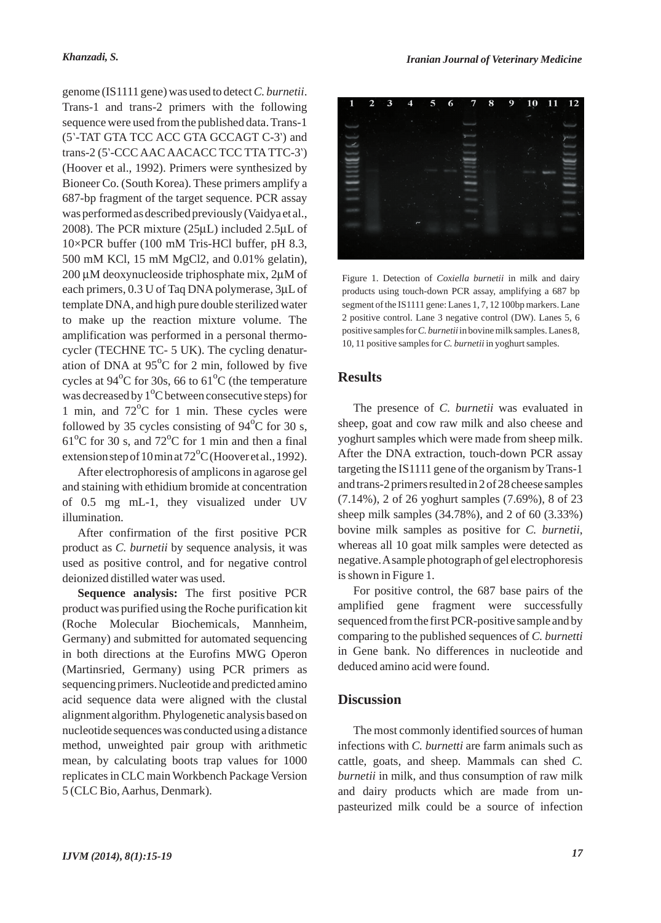genome (IS1111 gene) was used to detect *C. burnetii*. Trans-1 and trans-2 primers with the following sequence were used from the published data. Trans-1 (5'-TAT GTA TCC ACC GTA GCCAGT C-3') and trans-2 (5'-CCC AAC AACACC TCC TTA TTC-3') (Hoover et al., 1992). Primers were synthesized by Bioneer Co. (South Korea). These primers amplify a 687-bp fragment of the target sequence. PCR assay was performed as described previously (Vaidya et al., 2008). The PCR mixture (25μL) included 2.5μL of 10×PCR buffer (100 mM Tris-HCl buffer, pH 8.3, 500 mM KCl, 15 mM MgCl2, and 0.01% gelatin), 200 μM deoxynucleoside triphosphate mix, 2μM of each primers, 0.3 U of Taq DNA polymerase, 3μL of template DNA, and high pure double sterilized water to make up the reaction mixture volume. The amplification was performed in a personal thermocycler (TECHNE TC- 5 UK). The cycling denaturation of DNA at  $95^{\circ}$ C for 2 min, followed by five cycles at  $94^{\circ}$ C for 30s, 66 to 61<sup>o</sup>C (the temperature was decreased by  $1^{\circ}$ C between consecutive steps) for 1 min, and  $72^{\circ}$ C for 1 min. These cycles were followed by 35 cycles consisting of  $94^{\circ}$ C for 30 s,  $61^{\circ}$ C for 30 s, and  $72^{\circ}$ C for 1 min and then a final extension step of 10 min at  $72^{\circ}$ C (Hoover et al., 1992).

After electrophoresis of amplicons in agarose gel and staining with ethidium bromide at concentration of 0.5 mg mL-1, they visualized under UV illumination.

After confirmation of the first positive PCR product as *C. burnetii* by sequence analysis, it was used as positive control, and for negative control deionized distilled water was used.

**Sequence analysis:** The first positive PCR product was purified using the Roche purification kit (Roche Molecular Biochemicals, Mannheim, Germany) and submitted for automated sequencing in both directions at the Eurofins MWG Operon (Martinsried, Germany) using PCR primers as sequencing primers. Nucleotide and predicted amino acid sequence data were aligned with the clustal alignment algorithm. Phylogenetic analysis based on nucleotide sequences was conducted using a distance method, unweighted pair group with arithmetic mean, by calculating boots trap values for 1000 replicates in CLC main Workbench Package Version 5 (CLC Bio, Aarhus, Denmark).



Figure 1. Detection of *Coxiella burnetii* in milk and dairy products using touch-down PCR assay, amplifying a 687 bp segment of the IS1111 gene: Lanes 1, 7, 12 100bp markers. Lane 2 positive control. Lane 3 negative control (DW). Lanes 5, 6 positive samples for *C. burnetii*in bovine milk samples. Lanes 8, 10, 11 positive samples for *C. burnetii* in yoghurt samples.

### **Results**

The presence of *C. burnetii* was evaluated in sheep, goat and cow raw milk and also cheese and yoghurt samples which were made from sheep milk. After the DNA extraction, touch-down PCR assay targeting the IS1111 gene of the organism by Trans-1 and trans-2 primers resulted in 2 of 28 cheese samples (7.14%), 2 of 26 yoghurt samples (7.69%), 8 of 23 sheep milk samples (34.78%), and 2 of 60 (3.33%) bovine milk samples as positive for *C. burnetii*, whereas all 10 goat milk samples were detected as negative. Asample photograph of gel electrophoresis is shown in Figure 1.

For positive control, the 687 base pairs of the amplified gene fragment were successfully sequenced from the first PCR-positive sample and by comparing to the published sequences of *C. burnetti* in Gene bank. No differences in nucleotide and deduced amino acid were found.

## **Discussion**

The most commonly identified sources of human infections with *C. burnetti* are farm animals such as cattle, goats, and sheep. Mammals can shed *C. burnetii* in milk, and thus consumption of raw milk and dairy products which are made from unpasteurized milk could be a source of infection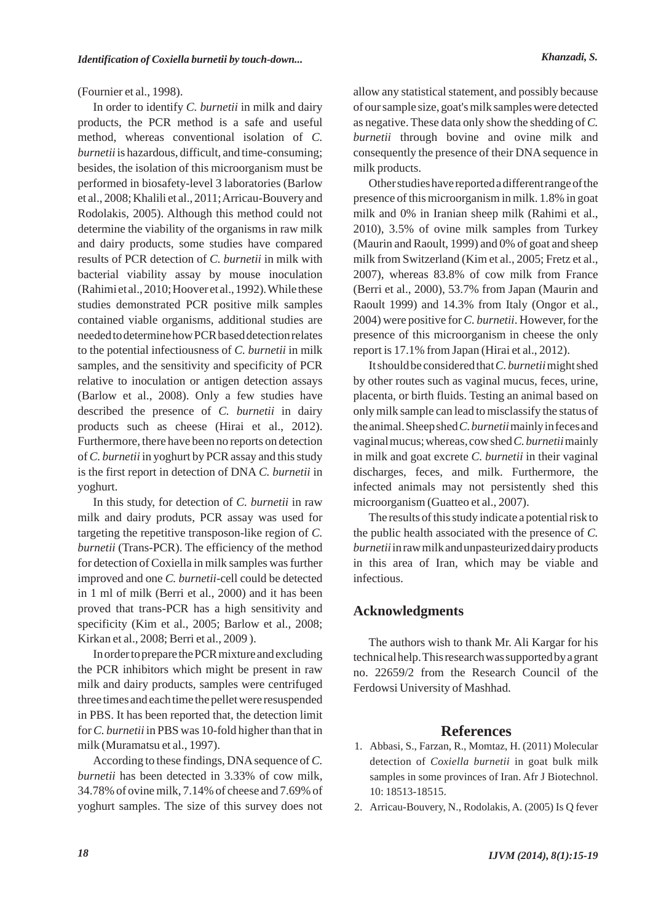(Fournier et al., 1998).

In order to identify *C. burnetii* in milk and dairy products, the PCR method is a safe and useful method, whereas conventional isolation of *C. burnetii* is hazardous, difficult, and time-consuming; besides, the isolation of this microorganism must be performed in biosafety-level 3 laboratories (Barlow et al., 2008; Khalili et al., 2011; Arricau-Bouvery and Rodolakis, 2005). Although this method could not determine the viability of the organisms in raw milk and dairy products, some studies have compared results of PCR detection of *C. burnetii* in milk with bacterial viability assay by mouse inoculation (Rahimi et al., 2010; Hoover et al., 1992). While these studies demonstrated PCR positive milk samples contained viable organisms, additional studies are needed to determine how PCR based detection relates to the potential infectiousness of *C. burnetii* in milk samples, and the sensitivity and specificity of PCR relative to inoculation or antigen detection assays (Barlow et al., 2008). Only a few studies have described the presence of *C. burnetii* in dairy products such as cheese (Hirai et al., 2012). Furthermore, there have been no reports on detection of *C. burnetii* in yoghurt by PCR assay and this study is the first report in detection of DNA *C. burnetii* in yoghurt.

In this study, for detection of *C. burnetii* in raw milk and dairy produts, PCR assay was used for targeting the repetitive transposon-like region of *C. burnetii* (Trans-PCR). The efficiency of the method for detection of Coxiella in milk samples was further improved and one *C. burnetii*-cell could be detected in 1 ml of milk (Berri et al., 2000) and it has been proved that trans-PCR has a high sensitivity and specificity (Kim et al., 2005; Barlow et al., 2008; Kirkan et al., 2008; Berri et al., 2009 ).

In order to prepare the PCR mixture and excluding the PCR inhibitors which might be present in raw milk and dairy products, samples were centrifuged three times and each time the pellet were resuspended in PBS. It has been reported that, the detection limit for *C. burnetii* in PBS was 10-fold higher than that in milk (Muramatsu et al., 1997).

According to these findings, DNAsequence of *C. burnetii* has been detected in 3.33% of cow milk, 34.78% of ovine milk, 7.14% of cheese and 7.69% of yoghurt samples. The size of this survey does not allow any statistical statement, and possibly because of our sample size, goat's milk samples were detected as negative. These data only show the shedding of *C. burnetii* through bovine and ovine milk and consequently the presence of their DNA sequence in milk products.

Other studies have reported a different range of the presence of this microorganism in milk. 1.8% in goat milk and 0% in Iranian sheep milk (Rahimi et al., 2010), 3.5% of ovine milk samples from Turkey (Maurin and Raoult, 1999) and 0% of goat and sheep milk from Switzerland (Kim et al., 2005; Fretz et al., 2007), whereas 83.8% of cow milk from France (Berri et al., 2000), 53.7% from Japan (Maurin and Raoult 1999) and 14.3% from Italy (Ongor et al., 2004) were positive for *C. burnetii*. However, for the presence of this microorganism in cheese the only report is 17.1% from Japan (Hirai et al., 2012).

It should be considered that *C. burnetii*might shed by other routes such as vaginal mucus, feces, urine, placenta, or birth fluids. Testing an animal based on only milk sample can lead to misclassify the status of the animal. Sheep shed *C. burnetii*mainly in feces and vaginal mucus; whereas, cow shed *C. burnetii*mainly in milk and goat excrete *C. burnetii* in their vaginal discharges, feces, and milk. Furthermore, the infected animals may not persistently shed this microorganism (Guatteo et al., 2007).

The results of this study indicate a potential risk to the public health associated with the presence of *C. burnetii*in raw milk and unpasteurized dairy products in this area of Iran, which may be viable and infectious.

## **Acknowledgments**

The authors wish to thank Mr. Ali Kargar for his technical help. This research was supported by a grant no. 22659/2 from the Research Council of the Ferdowsi University of Mashhad.

### **References**

- Abbasi, S., Farzan, R., Momtaz, H. (2011) Molecular 1. detection of *Coxiella burnetii* in goat bulk milk samples in some provinces of Iran. Afr J Biotechnol. 10: 18513-18515.
- Arricau-Bouvery, N., Rodolakis, A. (2005) Is Q fever 2.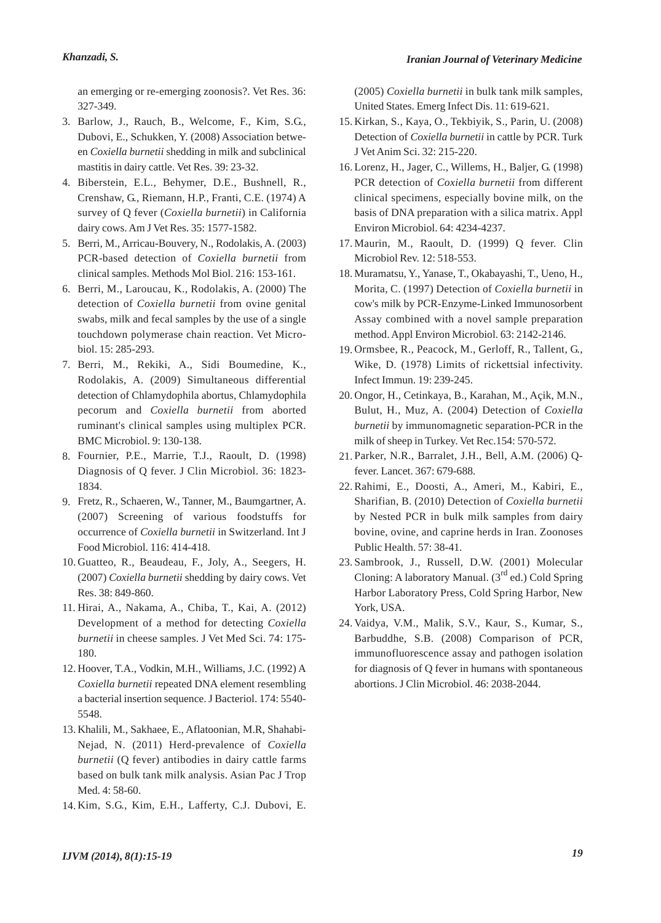an emerging or re-emerging zoonosis?. Vet Res. 36: 327-349.

- Barlow, J., Rauch, B., Welcome, F., Kim, S.G., 3. Dubovi, E., Schukken, Y. (2008) Association between *Coxiella burnetii* shedding in milk and subclinical mastitis in dairy cattle. Vet Res. 39: 23-32.
- Biberstein, E.L., Behymer, D.E., Bushnell, R., 4. Crenshaw, G., Riemann, H.P., Franti, C.E. (1974) A survey of Q fever (*Coxiella burnetii*) in California dairy cows. Am J Vet Res. 35: 1577-1582.
- Berri, M., Arricau-Bouvery, N., Rodolakis, A. (2003) 5. PCR-based detection of *Coxiella burnetii* from clinical samples. Methods Mol Biol. 216: 153-161.
- 6. Berri, M., Laroucau, K., Rodolakis, A. (2000) The detection of *Coxiella burnetii* from ovine genital swabs, milk and fecal samples by the use of a single touchdown polymerase chain reaction. Vet Microbiol. 15: 285-293.
- Berri, M., Rekiki, A., Sidi Boumedine, K., 7. Rodolakis, A. (2009) Simultaneous differential detection of Chlamydophila abortus, Chlamydophila pecorum and *Coxiella burnetii* from aborted ruminant's clinical samples using multiplex PCR. BMC Microbiol. 9: 130-138.
- Fournier, P.E., Marrie, T.J., Raoult, D. (1998) 8. Diagnosis of Q fever. J Clin Microbiol. 36: 1823- 1834.
- Fretz, R., Schaeren, W., Tanner, M., Baumgartner, A. 9. (2007) Screening of various foodstuffs for occurrence of *Coxiella burnetii* in Switzerland. Int J Food Microbiol. 116: 414-418.
- 10. Guatteo, R., Beaudeau, F., Joly, A., Seegers, H. (2007) *Coxiella burnetii* shedding by dairy cows. Vet Res. 38: 849-860.
- Hirai, A., Nakama, A., Chiba, T., Kai, A. (2012) 11. Development of a method for detecting *Coxiella burnetii* in cheese samples. J Vet Med Sci. 74: 175- 180.
- 12. Hoover, T.A., Vodkin, M.H., Williams, J.C. (1992) A *Coxiella burnetii* repeated DNA element resembling a bacterial insertion sequence. J Bacteriol. 174: 5540- 5548.
- 13. Khalili, M., Sakhaee, E., Aflatoonian, M.R, Shahabi-Nejad, N. (2011) Herd-prevalence of *Coxiella burnetii* (Q fever) antibodies in dairy cattle farms based on bulk tank milk analysis. Asian Pac J Trop Med. 4: 58-60.
- 14. Kim, S.G., Kim, E.H., Lafferty, C.J. Dubovi, E.

(2005) *Coxiella burnetii* in bulk tank milk samples, United States. Emerg Infect Dis. 11: 619-621.

- 15. Kirkan, S., Kaya, O., Tekbiyik, S., Parin, U. (2008) Detection of *Coxiella burnetii* in cattle by PCR. Turk J Vet Anim Sci. 32: 215-220.
- Lorenz, H., Jager, C., Willems, H., Baljer, G. (1998) 16. PCR detection of *Coxiella burnetii* from different clinical specimens, especially bovine milk, on the basis of DNA preparation with a silica matrix. Appl Environ Microbiol. 64: 4234-4237.
- 17. Maurin, M., Raoult, D. (1999) Q fever. Clin Microbiol Rev. 12: 518-553.
- Muramatsu, Y., Yanase, T., Okabayashi, T., Ueno, H., 18. Morita, C. (1997) Detection of *Coxiella burnetii* in cow's milk by PCR-Enzyme-Linked Immunosorbent Assay combined with a novel sample preparation method. Appl Environ Microbiol. 63: 2142-2146.
- 19. Ormsbee, R., Peacock, M., Gerloff, R., Tallent, G., Wike, D. (1978) Limits of rickettsial infectivity. Infect Immun. 19: 239-245.
- 20. Ongor, H., Cetinkaya, B., Karahan, M., Açik, M.N., Bulut, H., Muz, A. (2004) Detection of *Coxiella burnetii* by immunomagnetic separation-PCR in the milk of sheep in Turkey. Vet Rec.154: 570-572.
- Parker, N.R., Barralet, J.H., Bell, A.M. (2006) Q-21. fever. Lancet. 367: 679-688.
- 22. Rahimi, E., Doosti, A., Ameri, M., Kabiri, E., Sharifian, B. (2010) Detection of *Coxiella burnetii* by Nested PCR in bulk milk samples from dairy bovine, ovine, and caprine herds in Iran. Zoonoses Public Health. 57: 38-41.
- 23. Sambrook, J., Russell, D.W. (2001) Molecular Cloning: A laboratory Manual. (3<sup>rd</sup> ed.) Cold Spring Harbor Laboratory Press, Cold Spring Harbor, New York, USA.
- 24. Vaidya, V.M., Malik, S.V., Kaur, S., Kumar, S., Barbuddhe, S.B. (2008) Comparison of PCR, immunofluorescence assay and pathogen isolation for diagnosis of Q fever in humans with spontaneous abortions. J Clin Microbiol. 46: 2038-2044.